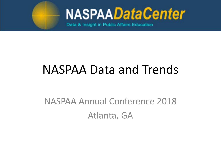

Data & Insight in Public Affairs Education

### NASPAA Data and Trends

### NASPAA Annual Conference 2018 Atlanta, GA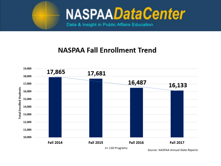

Data & Insight in Public Affairs Education

### **NASPAA Fall Enrollment Trend**



Source: NASPAA Annual Data Reports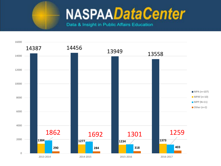

Data & Insight in Public Affairs Education

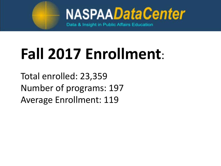

Data & Insight in Public Affairs Education

# **Fall 2017 Enrollment**:

Total enrolled: 23,359 Number of programs: 197 Average Enrollment: 119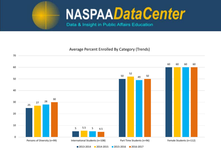

Data & Insight in Public Affairs Education

#### Average Percent Enrolled By Category (Trends)

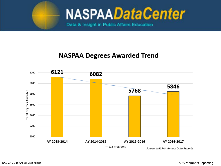

Data & Insight in Public Affairs Education

### **NASPAA Degrees Awarded Trend**



Source: NASPAA Annual Data Reports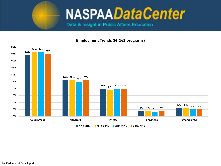

Data & Insight in Public Affairs Education

#### **Employment Trends (N=162 programs)**

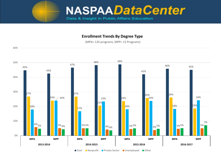

#### **Enrollment Trends By Degree Type**

(MPA= 135 programs, MPP= 15 Programs)

60%

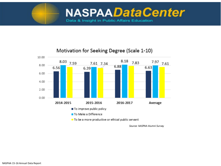



#### Motivation for Seeking Degree (Scale 1-10)

Source: NASPAA Alumni Survey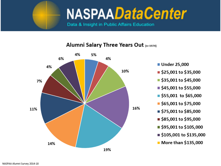

Data & Insight in Public Affairs Education

#### Alumni Salary Three Years Out (n=1974)



- Under 25,000
- \$25,001 to \$35,000
- \$35,001 to \$45,000
- \$45,001 to \$55,000
- \$55,001 to \$65,000
- $\blacksquare$  \$65,001 to \$75,000
- \$75,001 to \$85,000
- \$85,001 to \$95,000
- \$95,001 to \$105,000
- \$105,001 to \$135,000
- $\blacksquare$  More than \$135,000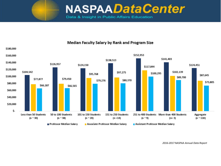Data & Insight in Public Affairs Education



Median Faculty Salary by Rank and Program Size

*2016-2017 NASPAA Annual Data Report*